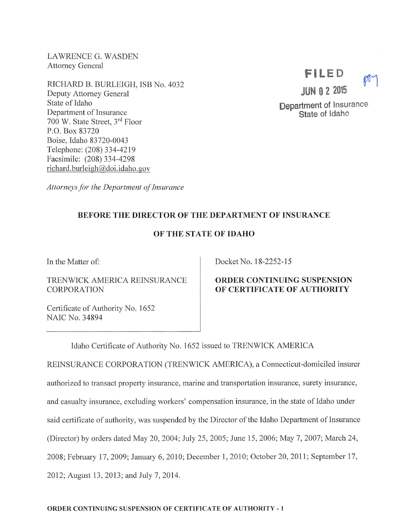LAWRENCE G. WASDEN Attorney General

RICHARD B. BURLEIGH, ISB No. 4032 Deputy Attorney General State of Idaho Department of Insurance 700 W. State Street, 3<sup>rd</sup> Floor P.O. Box 83720 Boise, Idaho 83720-0043 Telephone: (208)334-4219 Facsimile: (208) 334-4298 richard.burleigh@doi.idaho.gov

FILED JUN 0 2 2015 Department of Insurance State of Idaho

Attorneys for the Department of Insurance

#### BEFORE THE DIRECTOR OF THE DEPARTMENT OF INSURANCE

#### OF THE STATE OF IDAHO

In the Matter of:

TRENWICK AMERICA REINSURANCE CORPORATION

Certificate of Authority No. 1652 NAIC No. 34894

Docket No. 18-2252-15

## ORDER CONTINUING SUSPENSION OF CERTIFICATE OF AUTHORITY

Idaho Certificate of Authority No. 1652 issued to TRENWICK AMERICA

REINSURANCE CORPORATION (TRENWICK AMERICA), a Connecticut-domiciled insurer authorized to transact property insurance, marine and transportation insurance, surety insurance, and casualty insurance, excluding workers' compensation insurance, in the state of Idaho under said certificate of authority, was suspended by the Director of the Idaho Department of Insurance (Director) by orders dated May 20, 2004; July 25, 2005; June 15, 2006; May 7, 2007; March 24, 2008; February 17, 2009; January 6, 2010; December 1, 2010; October 20, 2011; September 17, 2012; August 13, 2013; and July 7, 2014.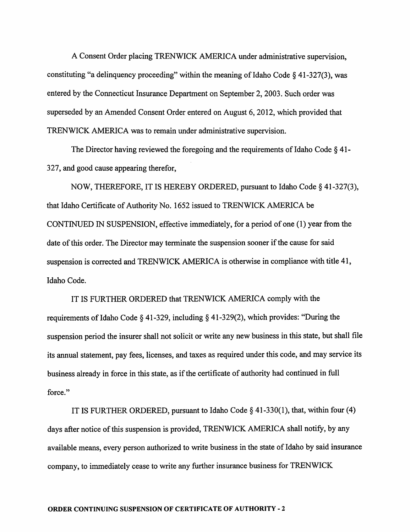A Consent Order placing TRENWICK AMERICA under administrative supervision, constituting "a delinquency proceeding" within the meaning of Idaho Code  $\S$  41-327(3), was entered by the Connecticut Insurance Department on September 2, 2003. Such order was superseded by an Amended Consent Order entered on August 6, 2012, which provided that TRENWICK AMERICA was to remain under administrative supervision.

The Director having reviewed the foregoing and the requirements of Idaho Code  $\S$  41-327, and good cause appearing therefor,

NOW, THEREFORE, IT IS HEREBY ORDERED, pursuant to Idaho Code § 41-327(3), that Idaho Certificate of Authority No. 1652 issued to TRENWICK AMERICA be CONTINUED IN SUSPENSION, effective immediately, for a period of one (1) year from the date of this order. The Director may terminate the suspension sooner if the cause for said suspension is corrected and TRENWICK AMERICA is otherwise in compliance with title 41, Idaho Code.

IT IS FURTHER ORDERED that TRENWICK AMERICA comply with the requirements of Idaho Code § 41-329, including § 41-329(2), which provides: "During the suspension period the insurer shall not solicit or write any new business in this state, but shall file its annual statement, pay fees, licenses, and taxes as required under this code, and may service its business already in force in this state, as if the certificate of authority had continued in full force."

IT IS FURTHER ORDERED, pursuant to Idaho Code  $\S$  41-330(1), that, within four (4) days after notice of this suspension is provided, TRENWICK AMERICA shall notify, by any available means, every person authorized to write business in the state of Idaho by said insurance company, to immediately cease to write any further insurance business for TRENWICK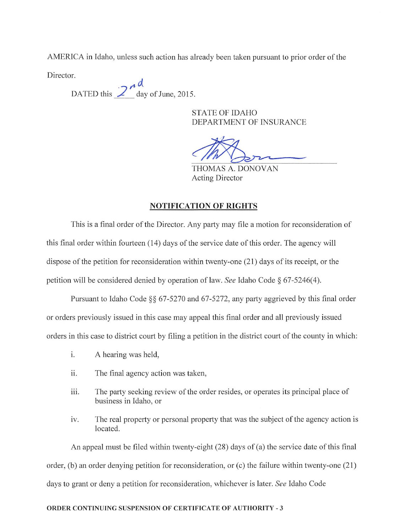AMERICA in Idaho, unless such action has already been taken pursuant to prior order of the

Director.

DATED this  $\frac{2^{n}d}{dx}$  day of June, 2015.

STATE OF IDAHO DEPARTMENT OF INSURANCE

THOMAS A. DONOVAN Acting Director

### NOTIFICATION OF RIGHTS

This is a final order of the Director. Any party may file a motion for reconsideration of this final order within fourteen (14) days of the service date of this order. The agency will dispose of the petition for reconsideration within twenty-one  $(21)$  days of its receipt, or the petition will be considered denied by operation of law. See Idaho Code § 67-5246(4).

Pursuant to Idaho Code §§ 67-5270 and 67-5272, any party aggrieved by this final order or orders previously issued in this case may appeal this final order and all previously issued orders in this case to district court by filing a petition in the district court ofthe county in which:

- i. A hearing was held,
- ii. The final agency action was taken,
- iii. The party seeking review of the order resides, or operates its principal place of business in Idaho, or
- iv. The real property or personal property that was the subject of the agency action is located.

An appeal must be filed within twenty-eight  $(28)$  days of  $(a)$  the service date of this final order, (b) an order denying petition for reconsideration, or (c) the failure within twenty-one (21) days to grant or deny a petition for reconsideration, whichever is later. See Idaho Code

#### ORDER CONTINUING SUSPENSION OF CERTIFICATE OF AUTHORITY - 3